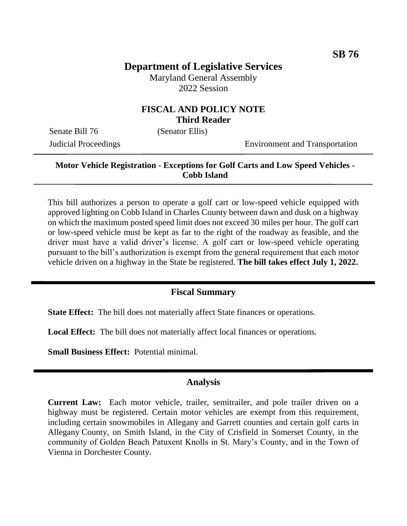# **Department of Legislative Services**

Maryland General Assembly 2022 Session

### **FISCAL AND POLICY NOTE Third Reader**

Senate Bill 76 (Senator Ellis)

Judicial Proceedings Environment and Transportation

## **Motor Vehicle Registration - Exceptions for Golf Carts and Low Speed Vehicles - Cobb Island**

This bill authorizes a person to operate a golf cart or low-speed vehicle equipped with approved lighting on Cobb Island in Charles County between dawn and dusk on a highway on which the maximum posted speed limit does not exceed 30 miles per hour. The golf cart or low-speed vehicle must be kept as far to the right of the roadway as feasible, and the driver must have a valid driver's license. A golf cart or low-speed vehicle operating pursuant to the bill's authorization is exempt from the general requirement that each motor vehicle driven on a highway in the State be registered. **The bill takes effect July 1, 2022.**

#### **Fiscal Summary**

**State Effect:** The bill does not materially affect State finances or operations.

**Local Effect:** The bill does not materially affect local finances or operations.

**Small Business Effect:** Potential minimal.

#### **Analysis**

**Current Law:** Each motor vehicle, trailer, semitrailer, and pole trailer driven on a highway must be registered. Certain motor vehicles are exempt from this requirement, including certain snowmobiles in Allegany and Garrett counties and certain golf carts in Allegany County, on Smith Island, in the City of Crisfield in Somerset County, in the community of Golden Beach Patuxent Knolls in St. Mary's County, and in the Town of Vienna in Dorchester County.